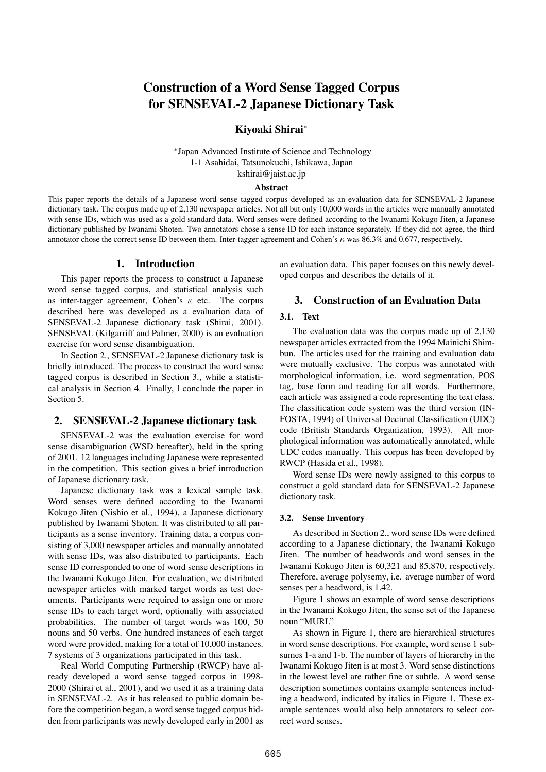# **Construction of a Word Sense Tagged Corpus for SENSEVAL-2 Japanese Dictionary Task**

## **Kiyoaki Shirai**<sup>∗</sup>

∗ Japan Advanced Institute of Science and Technology 1-1 Asahidai, Tatsunokuchi, Ishikawa, Japan kshirai@jaist.ac.jp

#### **Abstract**

This paper reports the details of a Japanese word sense tagged corpus developed as an evaluation data for SENSEVAL-2 Japanese dictionary task. The corpus made up of 2,130 newspaper articles. Not all but only 10,000 words in the articles were manually annotated with sense IDs, which was used as a gold standard data. Word senses were defined according to the Iwanami Kokugo Jiten, a Japanese dictionary published by Iwanami Shoten. Two annotators chose a sense ID for each instance separately. If they did not agree, the third annotator chose the correct sense ID between them. Inter-tagger agreement and Cohen's  $\kappa$  was 86.3% and 0.677, respectively.

### **1. Introduction**

This paper reports the process to construct a Japanese word sense tagged corpus, and statistical analysis such as inter-tagger agreement, Cohen's  $\kappa$  etc. The corpus described here was developed as a evaluation data of SENSEVAL-2 Japanese dictionary task (Shirai, 2001). SENSEVAL (Kilgarriff and Palmer, 2000) is an evaluation exercise for word sense disambiguation.

In Section 2., SENSEVAL-2 Japanese dictionary task is briefly introduced. The process to construct the word sense tagged corpus is described in Section 3., while a statistical analysis in Section 4. Finally, I conclude the paper in Section 5.

# **2. SENSEVAL-2 Japanese dictionary task**

SENSEVAL-2 was the evaluation exercise for word sense disambiguation (WSD hereafter), held in the spring of 2001. 12 languages including Japanese were represented in the competition. This section gives a brief introduction of Japanese dictionary task.

Japanese dictionary task was a lexical sample task. Word senses were defined according to the Iwanami Kokugo Jiten (Nishio et al., 1994), a Japanese dictionary published by Iwanami Shoten. It was distributed to all participants as a sense inventory. Training data, a corpus consisting of 3,000 newspaper articles and manually annotated with sense IDs, was also distributed to participants. Each sense ID corresponded to one of word sense descriptions in the Iwanami Kokugo Jiten. For evaluation, we distributed newspaper articles with marked target words as test documents. Participants were required to assign one or more sense IDs to each target word, optionally with associated probabilities. The number of target words was 100, 50 nouns and 50 verbs. One hundred instances of each target word were provided, making for a total of 10,000 instances. 7 systems of 3 organizations participated in this task.

Real World Computing Partnership (RWCP) have already developed a word sense tagged corpus in 1998- 2000 (Shirai et al., 2001), and we used it as a training data in SENSEVAL-2. As it has released to public domain before the competition began, a word sense tagged corpus hidden from participants was newly developed early in 2001 as an evaluation data. This paper focuses on this newly developed corpus and describes the details of it.

## **3. Construction of an Evaluation Data**

### **3.1. Text**

The evaluation data was the corpus made up of 2,130 newspaper articles extracted from the 1994 Mainichi Shimbun. The articles used for the training and evaluation data were mutually exclusive. The corpus was annotated with morphological information, i.e. word segmentation, POS tag, base form and reading for all words. Furthermore, each article was assigned a code representing the text class. The classification code system was the third version (IN-FOSTA, 1994) of Universal Decimal Classification (UDC) code (British Standards Organization, 1993). All morphological information was automatically annotated, while UDC codes manually. This corpus has been developed by RWCP (Hasida et al., 1998).

Word sense IDs were newly assigned to this corpus to construct a gold standard data for SENSEVAL-2 Japanese dictionary task.

#### **3.2. Sense Inventory**

As described in Section 2., word sense IDs were defined according to a Japanese dictionary, the Iwanami Kokugo Jiten. The number of headwords and word senses in the Iwanami Kokugo Jiten is 60,321 and 85,870, respectively. Therefore, average polysemy, i.e. average number of word senses per a headword, is 1.42.

Figure 1 shows an example of word sense descriptions in the Iwanami Kokugo Jiten, the sense set of the Japanese noun "MURI."

As shown in Figure 1, there are hierarchical structures in word sense descriptions. For example, word sense 1 subsumes 1-a and 1-b. The number of layers of hierarchy in the Iwanami Kokugo Jiten is at most 3. Word sense distinctions in the lowest level are rather fine or subtle. A word sense description sometimes contains example sentences including a headword, indicated by italics in Figure 1. These example sentences would also help annotators to select correct word senses.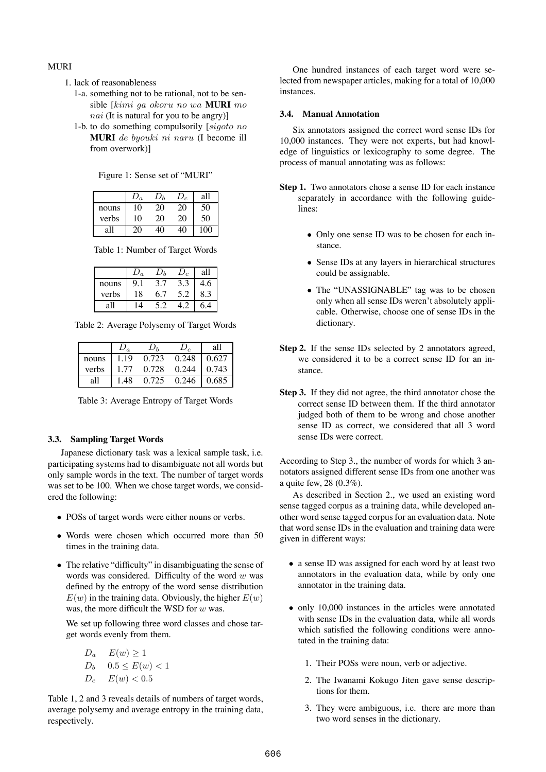MURI

- 1. lack of reasonableness
	- 1-a. something not to be rational, not to be sensible [kimi ga okoru no wa **MURI** mo *nai* (It is natural for you to be angry)]
	- 1-b. to do something compulsorily [sigoto no **MURI** de byouki ni naru (I become ill from overwork)]

Figure 1: Sense set of "MURI"

|       |    |    | $D_c$ | all |
|-------|----|----|-------|-----|
| nouns | 10 | 20 | 20    | 50  |
| verbs | 10 | 20 | 20    | 50  |
|       | ነበ |    |       | 1ሰበ |

Table 1: Number of Target Words

|       |    |     | $D_c$ |     |
|-------|----|-----|-------|-----|
| nouns |    | 3.7 | 3.3   | 6.6 |
| verbs | 18 | 6.7 | 5.2   |     |
|       |    |     |       |     |

Table 2: Average Polysemy of Target Words

|       | $D_{\alpha}$ | $D_h$ | $D_c$ | all   |
|-------|--------------|-------|-------|-------|
| nouns | 1.19         | 0.723 | 0.248 | 0.627 |
| verbs | 1.77         | 0.728 | 0.244 | 0.743 |
| all   | 148          | 0.725 | 0.246 | 0.685 |

Table 3: Average Entropy of Target Words

## **3.3. Sampling Target Words**

Japanese dictionary task was a lexical sample task, i.e. participating systems had to disambiguate not all words but only sample words in the text. The number of target words was set to be 100. When we chose target words, we considered the following:

- POSs of target words were either nouns or verbs.
- Words were chosen which occurred more than 50 times in the training data.
- The relative "difficulty" in disambiguating the sense of words was considered. Difficulty of the word  $w$  was defined by the entropy of the word sense distribution  $E(w)$  in the training data. Obviously, the higher  $E(w)$ was, the more difficult the WSD for  $w$  was.

We set up following three word classes and chose target words evenly from them.

$$
D_a \t E(w) \ge 1
$$
  
\n
$$
D_b \t 0.5 \le E(w) < 1
$$
  
\n
$$
D_c \t E(w) < 0.5
$$

Table 1, 2 and 3 reveals details of numbers of target words, average polysemy and average entropy in the training data, respectively.

One hundred instances of each target word were selected from newspaper articles, making for a total of 10,000 instances.

### **3.4. Manual Annotation**

Six annotators assigned the correct word sense IDs for 10,000 instances. They were not experts, but had knowledge of linguistics or lexicography to some degree. The process of manual annotating was as follows:

- **Step 1.** Two annotators chose a sense ID for each instance separately in accordance with the following guidelines:
	- Only one sense ID was to be chosen for each instance.
	- Sense IDs at any layers in hierarchical structures could be assignable.
	- The "UNASSIGNABLE" tag was to be chosen only when all sense IDs weren't absolutely applicable. Otherwise, choose one of sense IDs in the dictionary.
- **Step 2.** If the sense IDs selected by 2 annotators agreed, we considered it to be a correct sense ID for an instance.
- **Step 3.** If they did not agree, the third annotator chose the correct sense ID between them. If the third annotator judged both of them to be wrong and chose another sense ID as correct, we considered that all 3 word sense IDs were correct.

According to Step 3., the number of words for which 3 annotators assigned different sense IDs from one another was a quite few, 28 (0.3%).

As described in Section 2., we used an existing word sense tagged corpus as a training data, while developed another word sense tagged corpus for an evaluation data. Note that word sense IDs in the evaluation and training data were given in different ways:

- a sense ID was assigned for each word by at least two annotators in the evaluation data, while by only one annotator in the training data.
- only 10,000 instances in the articles were annotated with sense IDs in the evaluation data, while all words which satisfied the following conditions were annotated in the training data:
	- 1. Their POSs were noun, verb or adjective.
	- 2. The Iwanami Kokugo Jiten gave sense descriptions for them.
	- 3. They were ambiguous, i.e. there are more than two word senses in the dictionary.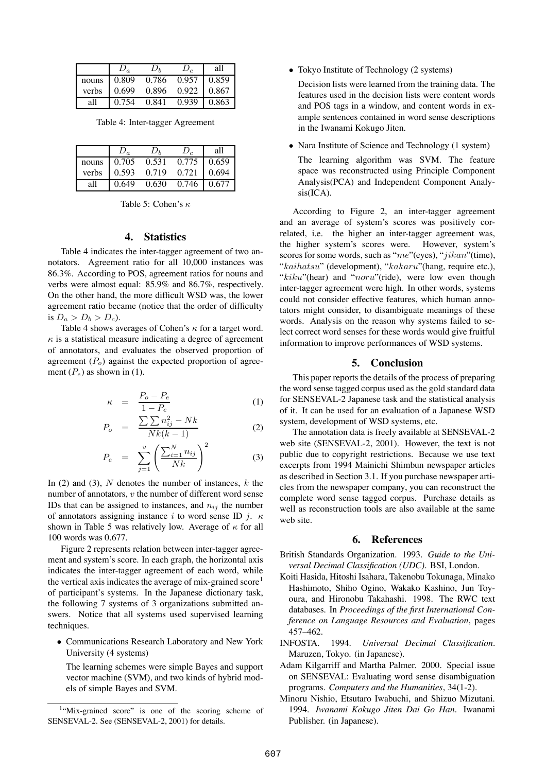|             |       | $D_h$ | $D_{\ell}$                    | -all |
|-------------|-------|-------|-------------------------------|------|
| nouns 0.809 |       |       | $0.786$ $0.957$ 0.859         |      |
|             |       |       | verbs 0.699 0.896 0.922 0.867 |      |
| all         | 0.754 |       | $0.841$ 0.939 $\boxed{0.863}$ |      |

Table 4: Inter-tagger Agreement

|               | $D_{\alpha}$ | $D_h$ | $D_{\alpha}$        | all   |
|---------------|--------------|-------|---------------------|-------|
| nouns $0.705$ |              | 0.531 | 0.775               | 0.659 |
| verbs         | 0.593        | 0.719 | $0.721 \pm 0.694$   |       |
| all           | 0.649        | 0.630 | $0.746 \cdot 0.677$ |       |

Table 5: Cohen's κ

### **4. Statistics**

Table 4 indicates the inter-tagger agreement of two annotators. Agreement ratio for all 10,000 instances was 86.3%. According to POS, agreement ratios for nouns and verbs were almost equal: 85.9% and 86.7%, respectively. On the other hand, the more difficult WSD was, the lower agreement ratio became (notice that the order of difficulty is  $D_a > D_b > D_c$ ).

Table 4 shows averages of Cohen's  $\kappa$  for a target word.  $\kappa$  is a statistical measure indicating a degree of agreement of annotators, and evaluates the observed proportion of agreement  $(P<sub>o</sub>)$  against the expected proportion of agreement  $(P_e)$  as shown in (1).

$$
\kappa = \frac{P_o - P_e}{1 - P_e} \tag{1}
$$

$$
P_o = \frac{\sum \sum n_{ij}^2 - Nk}{Nk(k-1)}
$$
 (2)

$$
P_e = \sum_{j=1}^{v} \left( \frac{\sum_{i=1}^{N} n_{ij}}{Nk} \right)^2 \tag{3}
$$

In (2) and (3),  $N$  denotes the number of instances,  $k$  the number of annotators,  $v$  the number of different word sense IDs that can be assigned to instances, and  $n_{ij}$  the number of annotators assigning instance i to word sense ID j.  $\kappa$ shown in Table 5 was relatively low. Average of  $\kappa$  for all 100 words was 0.677.

Figure 2 represents relation between inter-tagger agreement and system's score. In each graph, the horizontal axis indicates the inter-tagger agreement of each word, while the vertical axis indicates the average of mix-grained score<sup>1</sup> of participant's systems. In the Japanese dictionary task, the following 7 systems of 3 organizations submitted answers. Notice that all systems used supervised learning techniques.

• Communications Research Laboratory and New York University (4 systems)

The learning schemes were simple Bayes and support vector machine (SVM), and two kinds of hybrid models of simple Bayes and SVM.

• Tokyo Institute of Technology (2 systems)

Decision lists were learned from the training data. The features used in the decision lists were content words and POS tags in a window, and content words in example sentences contained in word sense descriptions in the Iwanami Kokugo Jiten.

• Nara Institute of Science and Technology (1 system)

The learning algorithm was SVM. The feature space was reconstructed using Principle Component Analysis(PCA) and Independent Component Analysis(ICA).

According to Figure 2, an inter-tagger agreement and an average of system's scores was positively correlated, i.e. the higher an inter-tagger agreement was, the higher system's scores were. However, system's scores for some words, such as " $me$ "(eyes), " $jikan$ "(time), "kaihatsu" (development), "kakaru"(hang, require etc.), " $kiku$ "(hear) and " $noru$ "(ride), were low even though inter-tagger agreement were high. In other words, systems could not consider effective features, which human annotators might consider, to disambiguate meanings of these words. Analysis on the reason why systems failed to select correct word senses for these words would give fruitful information to improve performances of WSD systems.

### **5. Conclusion**

This paper reports the details of the process of preparing the word sense tagged corpus used as the gold standard data for SENSEVAL-2 Japanese task and the statistical analysis of it. It can be used for an evaluation of a Japanese WSD system, development of WSD systems, etc.

The annotation data is freely available at SENSEVAL-2 web site (SENSEVAL-2, 2001). However, the text is not public due to copyright restrictions. Because we use text excerpts from 1994 Mainichi Shimbun newspaper articles as described in Section 3.1. If you purchase newspaper articles from the newspaper company, you can reconstruct the complete word sense tagged corpus. Purchase details as well as reconstruction tools are also available at the same web site.

### **6. References**

- British Standards Organization. 1993. *Guide to the Universal Decimal Classification (UDC)*. BSI, London.
- Koiti Hasida, Hitoshi Isahara, Takenobu Tokunaga, Minako Hashimoto, Shiho Ogino, Wakako Kashino, Jun Toyoura, and Hironobu Takahashi. 1998. The RWC text databases. In *Proceedings of the first International Conference on Language Resources and Evaluation*, pages 457-462.
- INFOSTA. 1994. *Universal Decimal Classification*. Maruzen, Tokyo. (in Japanese).
- Adam Kilgarriff and Martha Palmer. 2000. Special issue on SENSEVAL: Evaluating word sense disambiguation programs. *Computers and the Humanities*, 34(1-2).
- Minoru Nishio, Etsutaro Iwabuchi, and Shizuo Mizutani. 1994. *Iwanami Kokugo Jiten Dai Go Han*. Iwanami Publisher. (in Japanese).

<sup>&</sup>lt;sup>1</sup>"Mix-grained score" is one of the scoring scheme of SENSEVAL-2. See (SENSEVAL-2, 2001) for details.